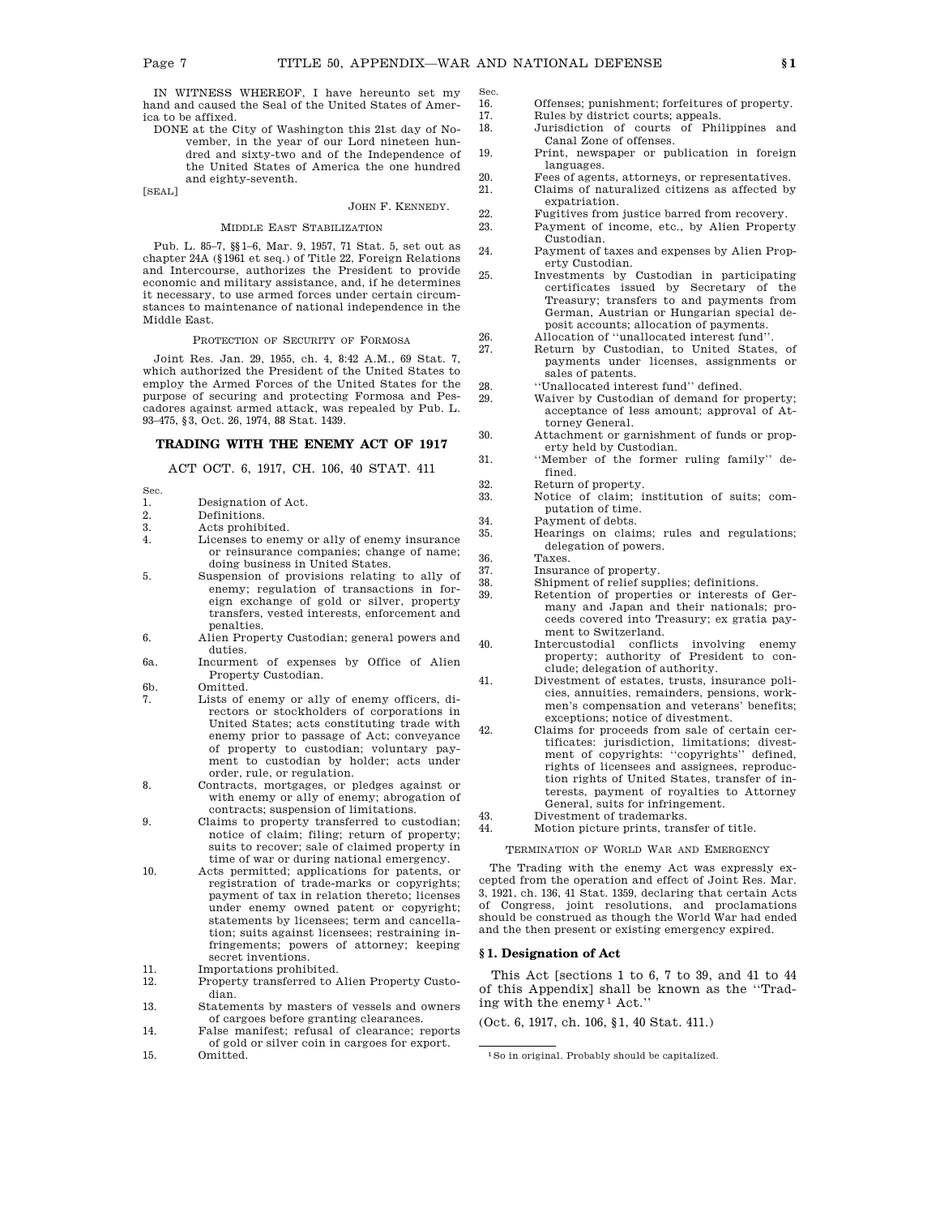Sec.

IN WITNESS WHEREOF, I have hereunto set my hand and caused the Seal of the United States of America to be affixed.

DONE at the City of Washington this 21st day of November, in the year of our Lord nineteen hundred and sixty-two and of the Independence of the United States of America the one hundred and eighty-seventh.

[SEAL]

# JOHN F. KENNEDY.

# MIDDLE EAST STABILIZATION

Pub. L. 85–7, §§1–6, Mar. 9, 1957, 71 Stat. 5, set out as chapter 24A (§1961 et seq.) of Title 22, Foreign Relations and Intercourse, authorizes the President to provide economic and military assistance, and, if he determines it necessary, to use armed forces under certain circumstances to maintenance of national independence in the Middle East.

PROTECTION OF SECURITY OF FORMOSA

Joint Res. Jan. 29, 1955, ch. 4, 8:42 A.M., 69 Stat. 7, which authorized the President of the United States to employ the Armed Forces of the United States for the purpose of securing and protecting Formosa and Pescadores against armed attack, was repealed by Pub. L. 93–475, §3, Oct. 26, 1974, 88 Stat. 1439.

# **TRADING WITH THE ENEMY ACT OF 1917**

ACT OCT. 6, 1917, CH. 106, 40 STAT. 411

- Sec. 1. Designation of Act.<br>2. Definitions. 2. Definitions.<br>3. Acts prohib
- 3. Acts prohibited.<br>4. Licenses to ener Licenses to enemy or ally of enemy insurance or reinsurance companies; change of name; doing business in United States.
- 5. Suspension of provisions relating to ally of enemy; regulation of transactions in foreign exchange of gold or silver, property transfers, vested interests, enforcement and penalties.
- 6. Alien Property Custodian; general powers and duties.
- 6a. Incurment of expenses by Office of Alien Property Custodian.
- 6b. Omitted.
- 7. Lists of enemy or ally of enemy officers, directors or stockholders of corporations in United States; acts constituting trade with enemy prior to passage of Act; conveyance of property to custodian; voluntary payment to custodian by holder; acts under order, rule, or regulation.
- 8. Contracts, mortgages, or pledges against or with enemy or ally of enemy; abrogation of contracts; suspension of limitations.
- 9. Claims to property transferred to custodian; notice of claim; filing; return of property; suits to recover; sale of claimed property in time of war or during national emergency.
- 10. Acts permitted; applications for patents, or registration of trade-marks or copyrights; payment of tax in relation thereto; licenses under enemy owned patent or copyright; statements by licensees; term and cancellation; suits against licensees; restraining infringements; powers of attorney; keeping secret inventions.
- 11. Importations prohibited.<br>12. Property transferred to A
- 12. Property transferred to Alien Property Custodian.
- 13. Statements by masters of vessels and owners of cargoes before granting clearances.
- 14. False manifest; refusal of clearance; reports of gold or silver coin in cargoes for export. 15. Omitted.
- 16. Offenses; punishment; forfeitures of property.<br>17. Bules by district courts: appeals Rules by district courts; appeals.
- 18. Jurisdiction of courts of Philippines and Canal Zone of offenses.
- 19. Print, newspaper or publication in foreign languages.
- 20. Fees of agents, attorneys, or representatives.<br>21. Claims of naturalized citizens as affected by 21. Claims of naturalized citizens as affected by
	- expatriation.
- 22. Fugitives from justice barred from recovery.<br>
23. Payment of income. etc.. by Alien Propert Payment of income, etc., by Alien Property
- Custodian. 24. Payment of taxes and expenses by Alien Property Custodian.
- 25. Investments by Custodian in participating certificates issued by Secretary of the Treasury; transfers to and payments from German, Austrian or Hungarian special deposit accounts; allocation of payments.
- 26. Allocation of ''unallocated interest fund''.
- 27. Return by Custodian, to United States, of payments under licenses, assignments or sales of patents.
- 28. ''Unallocated interest fund'' defined.<br>29. Waiver by Custodian of demand for
	- Waiver by Custodian of demand for property: acceptance of less amount; approval of Attorney General.
- 30. Attachment or garnishment of funds or property held by Custodian.
- 31. ''Member of the former ruling family'' defined.
- 32. Return of property.
- 33. Notice of claim; institution of suits; computation of time.
- 34. Payment of debts.
- 35. Hearings on claims; rules and regulations; delegation of powers.
- 36. Taxes.
- 37. Insurance of property.<br>38. Shipment of relief sup
	- 38. Shipment of relief supplies; definitions.
- 39. Retention of properties or interests of Germany and Japan and their nationals; proceeds covered into Treasury; ex gratia payment to Switzerland.
- 40. Intercustodial conflicts involving enemy property; authority of President to conclude; delegation of authority.
- 41. Divestment of estates, trusts, insurance policies, annuities, remainders, pensions, workmen's compensation and veterans' benefits; exceptions; notice of divestment.
- 42. Claims for proceeds from sale of certain certificates: jurisdiction, limitations; divestment of copyrights: ''copyrights'' defined, rights of licensees and assignees, reproduction rights of United States, transfer of interests, payment of royalties to Attorney General, suits for infringement.
- 43. Divestment of trademarks. 44. Motion picture prints, transfer of title.

TERMINATION OF WORLD WAR AND EMERGENCY

The Trading with the enemy Act was expressly excepted from the operation and effect of Joint Res. Mar. 3, 1921, ch. 136, 41 Stat. 1359, declaring that certain Acts of Congress, joint resolutions, and proclamations should be construed as though the World War had ended and the then present or existing emergency expired.

### **§ 1. Designation of Act**

This Act [sections 1 to 6, 7 to 39, and 41 to 44 of this Appendix] shall be known as the ''Trading with the enemy1 Act.''

(Oct. 6, 1917, ch. 106, §1, 40 Stat. 411.)

<sup>1</sup>So in original. Probably should be capitalized.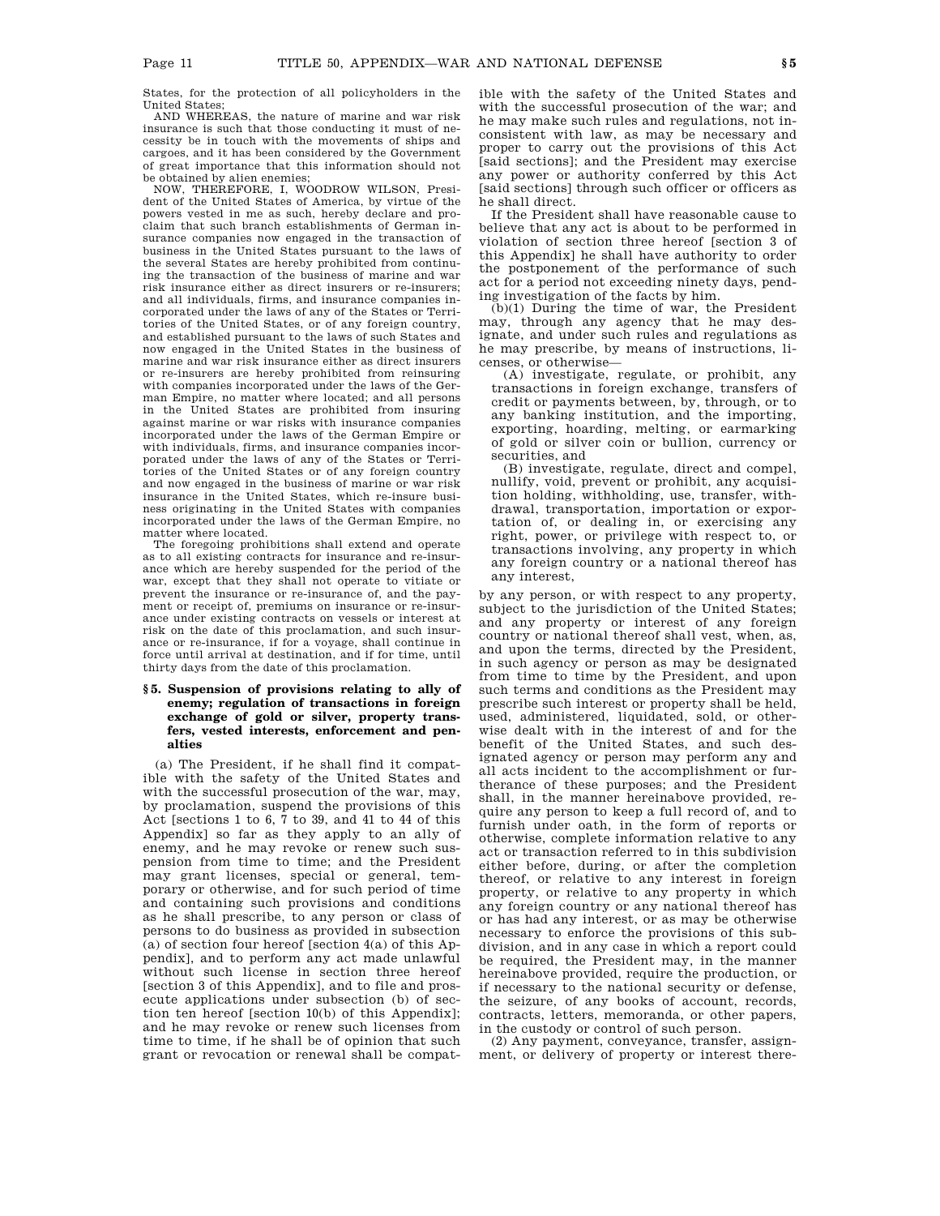States, for the protection of all policyholders in the United States;

AND WHEREAS, the nature of marine and war risk insurance is such that those conducting it must of necessity be in touch with the movements of ships and cargoes, and it has been considered by the Government of great importance that this information should not be obtained by alien enemies;

NOW, THEREFORE, I, WOODROW WILSON, President of the United States of America, by virtue of the powers vested in me as such, hereby declare and proclaim that such branch establishments of German insurance companies now engaged in the transaction of business in the United States pursuant to the laws of the several States are hereby prohibited from continuing the transaction of the business of marine and war risk insurance either as direct insurers or re-insurers; and all individuals, firms, and insurance companies incorporated under the laws of any of the States or Territories of the United States, or of any foreign country, and established pursuant to the laws of such States and now engaged in the United States in the business of marine and war risk insurance either as direct insurers or re-insurers are hereby prohibited from reinsuring with companies incorporated under the laws of the German Empire, no matter where located; and all persons in the United States are prohibited from insuring against marine or war risks with insurance companies incorporated under the laws of the German Empire or with individuals, firms, and insurance companies incorporated under the laws of any of the States or Territories of the United States or of any foreign country and now engaged in the business of marine or war risk insurance in the United States, which re-insure business originating in the United States with companies incorporated under the laws of the German Empire, no matter where located.

The foregoing prohibitions shall extend and operate as to all existing contracts for insurance and re-insurance which are hereby suspended for the period of the war, except that they shall not operate to vitiate or prevent the insurance or re-insurance of, and the payment or receipt of, premiums on insurance or re-insurance under existing contracts on vessels or interest at risk on the date of this proclamation, and such insurance or re-insurance, if for a voyage, shall continue in force until arrival at destination, and if for time, until thirty days from the date of this proclamation.

## **§ 5. Suspension of provisions relating to ally of enemy; regulation of transactions in foreign exchange of gold or silver, property transfers, vested interests, enforcement and penalties**

(a) The President, if he shall find it compatible with the safety of the United States and with the successful prosecution of the war, may, by proclamation, suspend the provisions of this Act [sections 1 to 6, 7 to 39, and 41 to 44 of this Appendix] so far as they apply to an ally of enemy, and he may revoke or renew such suspension from time to time; and the President may grant licenses, special or general, temporary or otherwise, and for such period of time and containing such provisions and conditions as he shall prescribe, to any person or class of persons to do business as provided in subsection (a) of section four hereof [section 4(a) of this Appendix], and to perform any act made unlawful without such license in section three hereof [section 3 of this Appendix], and to file and prosecute applications under subsection (b) of section ten hereof [section 10(b) of this Appendix]; and he may revoke or renew such licenses from time to time, if he shall be of opinion that such grant or revocation or renewal shall be compatible with the safety of the United States and with the successful prosecution of the war; and he may make such rules and regulations, not inconsistent with law, as may be necessary and proper to carry out the provisions of this Act [said sections]; and the President may exercise any power or authority conferred by this Act [said sections] through such officer or officers as he shall direct.

If the President shall have reasonable cause to believe that any act is about to be performed in violation of section three hereof [section 3 of this Appendix] he shall have authority to order the postponement of the performance of such act for a period not exceeding ninety days, pending investigation of the facts by him.

(b)(1) During the time of war, the President may, through any agency that he may designate, and under such rules and regulations as he may prescribe, by means of instructions, licenses, or otherwise—

(A) investigate, regulate, or prohibit, any transactions in foreign exchange, transfers of credit or payments between, by, through, or to any banking institution, and the importing, exporting, hoarding, melting, or earmarking of gold or silver coin or bullion, currency or securities, and

(B) investigate, regulate, direct and compel, nullify, void, prevent or prohibit, any acquisition holding, withholding, use, transfer, withdrawal, transportation, importation or exportation of, or dealing in, or exercising any right, power, or privilege with respect to, or transactions involving, any property in which any foreign country or a national thereof has any interest,

by any person, or with respect to any property, subject to the jurisdiction of the United States; and any property or interest of any foreign country or national thereof shall vest, when, as, and upon the terms, directed by the President, in such agency or person as may be designated from time to time by the President, and upon such terms and conditions as the President may prescribe such interest or property shall be held, used, administered, liquidated, sold, or otherwise dealt with in the interest of and for the benefit of the United States, and such designated agency or person may perform any and all acts incident to the accomplishment or furtherance of these purposes; and the President shall, in the manner hereinabove provided, require any person to keep a full record of, and to furnish under oath, in the form of reports or otherwise, complete information relative to any act or transaction referred to in this subdivision either before, during, or after the completion thereof, or relative to any interest in foreign property, or relative to any property in which any foreign country or any national thereof has or has had any interest, or as may be otherwise necessary to enforce the provisions of this subdivision, and in any case in which a report could be required, the President may, in the manner hereinabove provided, require the production, or if necessary to the national security or defense, the seizure, of any books of account, records, contracts, letters, memoranda, or other papers, in the custody or control of such person.

(2) Any payment, conveyance, transfer, assignment, or delivery of property or interest there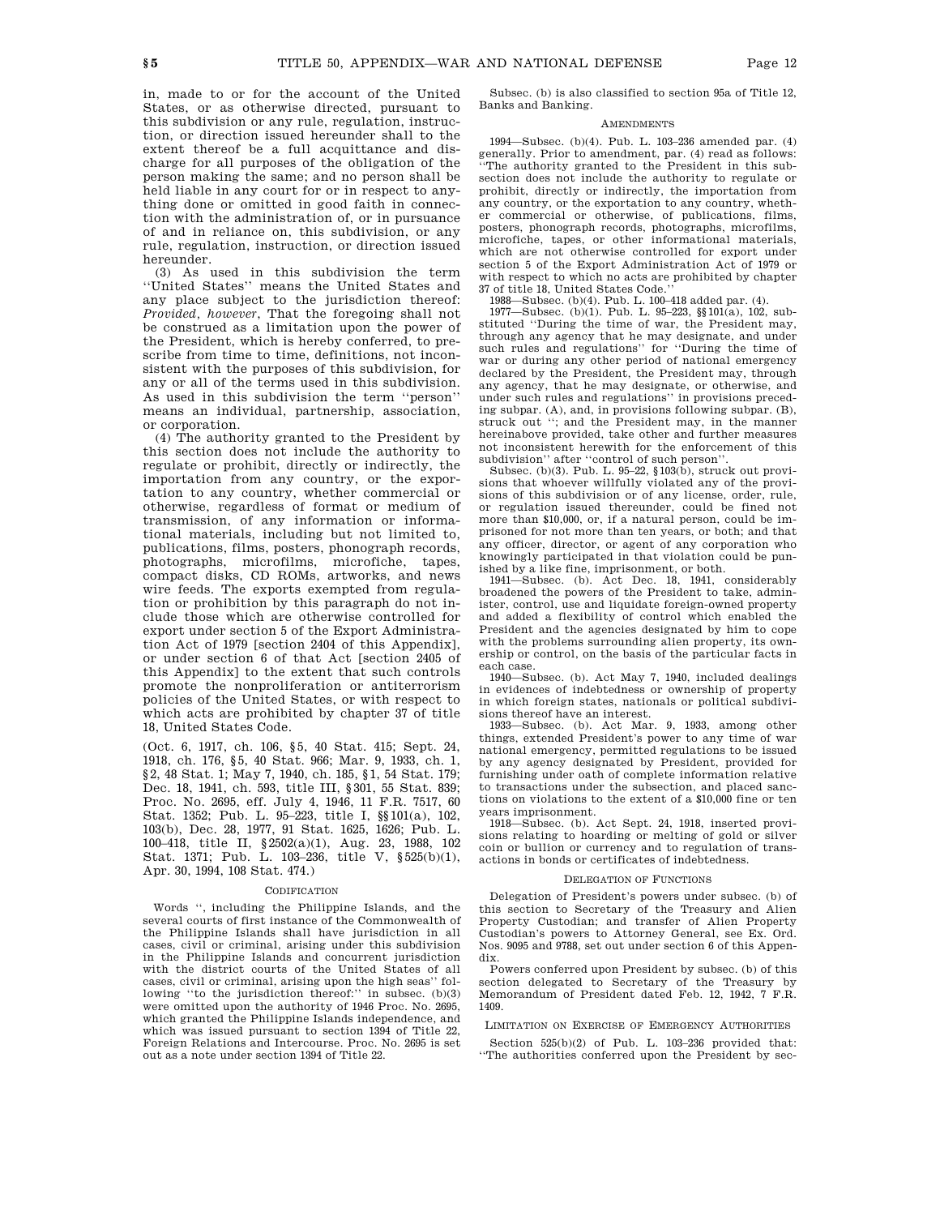in, made to or for the account of the United States, or as otherwise directed, pursuant to this subdivision or any rule, regulation, instruction, or direction issued hereunder shall to the extent thereof be a full acquittance and discharge for all purposes of the obligation of the

person making the same; and no person shall be held liable in any court for or in respect to anything done or omitted in good faith in connection with the administration of, or in pursuance of and in reliance on, this subdivision, or any rule, regulation, instruction, or direction issued hereunder.

(3) As used in this subdivision the term ''United States'' means the United States and any place subject to the jurisdiction thereof: *Provided, however*, That the foregoing shall not be construed as a limitation upon the power of the President, which is hereby conferred, to prescribe from time to time, definitions, not inconsistent with the purposes of this subdivision, for any or all of the terms used in this subdivision. As used in this subdivision the term ''person'' means an individual, partnership, association, or corporation.

(4) The authority granted to the President by this section does not include the authority to regulate or prohibit, directly or indirectly, the importation from any country, or the exportation to any country, whether commercial or otherwise, regardless of format or medium of transmission, of any information or informational materials, including but not limited to, publications, films, posters, phonograph records, photographs, microfilms, microfiche, tapes, compact disks, CD ROMs, artworks, and news wire feeds. The exports exempted from regulation or prohibition by this paragraph do not include those which are otherwise controlled for export under section 5 of the Export Administration Act of 1979 [section 2404 of this Appendix], or under section 6 of that Act [section 2405 of this Appendix] to the extent that such controls promote the nonproliferation or antiterrorism policies of the United States, or with respect to which acts are prohibited by chapter 37 of title 18, United States Code.

(Oct. 6, 1917, ch. 106, §5, 40 Stat. 415; Sept. 24, 1918, ch. 176, §5, 40 Stat. 966; Mar. 9, 1933, ch. 1, §2, 48 Stat. 1; May 7, 1940, ch. 185, §1, 54 Stat. 179; Dec. 18, 1941, ch. 593, title III, §301, 55 Stat. 839; Proc. No. 2695, eff. July 4, 1946, 11 F.R. 7517, 60 Stat. 1352; Pub. L. 95–223, title I, §§101(a), 102, 103(b), Dec. 28, 1977, 91 Stat. 1625, 1626; Pub. L. 100–418, title II, §2502(a)(1), Aug. 23, 1988, 102 Stat. 1371; Pub. L. 103–236, title V, §525(b)(1), Apr. 30, 1994, 108 Stat. 474.)

#### CODIFICATION

Words '', including the Philippine Islands, and the several courts of first instance of the Commonwealth of the Philippine Islands shall have jurisdiction in all cases, civil or criminal, arising under this subdivision in the Philippine Islands and concurrent jurisdiction with the district courts of the United States of all cases, civil or criminal, arising upon the high seas'' following "to the jurisdiction thereof:" in subsec.  $(b)(3)$ were omitted upon the authority of 1946 Proc. No. 2695, which granted the Philippine Islands independence, and which was issued pursuant to section 1394 of Title 22, Foreign Relations and Intercourse. Proc. No. 2695 is set out as a note under section 1394 of Title 22.

Subsec. (b) is also classified to section 95a of Title 12, Banks and Banking.

## **AMENDMENTS**

1994—Subsec. (b)(4). Pub. L. 103–236 amended par. (4) generally. Prior to amendment, par. (4) read as follows: ''The authority granted to the President in this subsection does not include the authority to regulate or prohibit, directly or indirectly, the importation from any country, or the exportation to any country, whether commercial or otherwise, of publications, films, posters, phonograph records, photographs, microfilms, microfiche, tapes, or other informational materials, which are not otherwise controlled for export under section 5 of the Export Administration Act of 1979 or with respect to which no acts are prohibited by chapter 37 of title 18, United States Code.''

1988—Subsec. (b)(4). Pub. L. 100–418 added par. (4).

1977—Subsec. (b)(1). Pub. L. 95–223, §§101(a), 102, substituted ''During the time of war, the President may, through any agency that he may designate, and under such rules and regulations'' for ''During the time of war or during any other period of national emergency declared by the President, the President may, through any agency, that he may designate, or otherwise, and under such rules and regulations'' in provisions preceding subpar. (A), and, in provisions following subpar. (B), struck out ''; and the President may, in the manner hereinabove provided, take other and further measures not inconsistent herewith for the enforcement of this subdivision'' after ''control of such person''.

Subsec. (b)(3). Pub. L. 95–22, §103(b), struck out provisions that whoever willfully violated any of the provisions of this subdivision or of any license, order, rule, or regulation issued thereunder, could be fined not more than \$10,000, or, if a natural person, could be imprisoned for not more than ten years, or both; and that any officer, director, or agent of any corporation who knowingly participated in that violation could be punished by a like fine, imprisonment, or both.

1941—Subsec. (b). Act Dec. 18, 1941, considerably broadened the powers of the President to take, administer, control, use and liquidate foreign-owned property and added a flexibility of control which enabled the President and the agencies designated by him to cope with the problems surrounding alien property, its ownership or control, on the basis of the particular facts in each case.

1940—Subsec. (b). Act May 7, 1940, included dealings in evidences of indebtedness or ownership of property in which foreign states, nationals or political subdivisions thereof have an interest.

1933—Subsec. (b). Act Mar. 9, 1933, among other things, extended President's power to any time of war national emergency, permitted regulations to be issued by any agency designated by President, provided for furnishing under oath of complete information relative to transactions under the subsection, and placed sanctions on violations to the extent of a \$10,000 fine or ten years imprisonment.

1918—Subsec. (b). Act Sept. 24, 1918, inserted provisions relating to hoarding or melting of gold or silver coin or bullion or currency and to regulation of transactions in bonds or certificates of indebtedness.

#### DELEGATION OF FUNCTIONS

Delegation of President's powers under subsec. (b) of this section to Secretary of the Treasury and Alien Property Custodian; and transfer of Alien Property Custodian's powers to Attorney General, see Ex. Ord. Nos. 9095 and 9788, set out under section 6 of this Appendix.

Powers conferred upon President by subsec. (b) of this section delegated to Secretary of the Treasury by Memorandum of President dated Feb. 12, 1942, 7 F.R. 1409.

LIMITATION ON EXERCISE OF EMERGENCY AUTHORITIES

Section 525(b)(2) of Pub. L. 103–236 provided that: ''The authorities conferred upon the President by sec-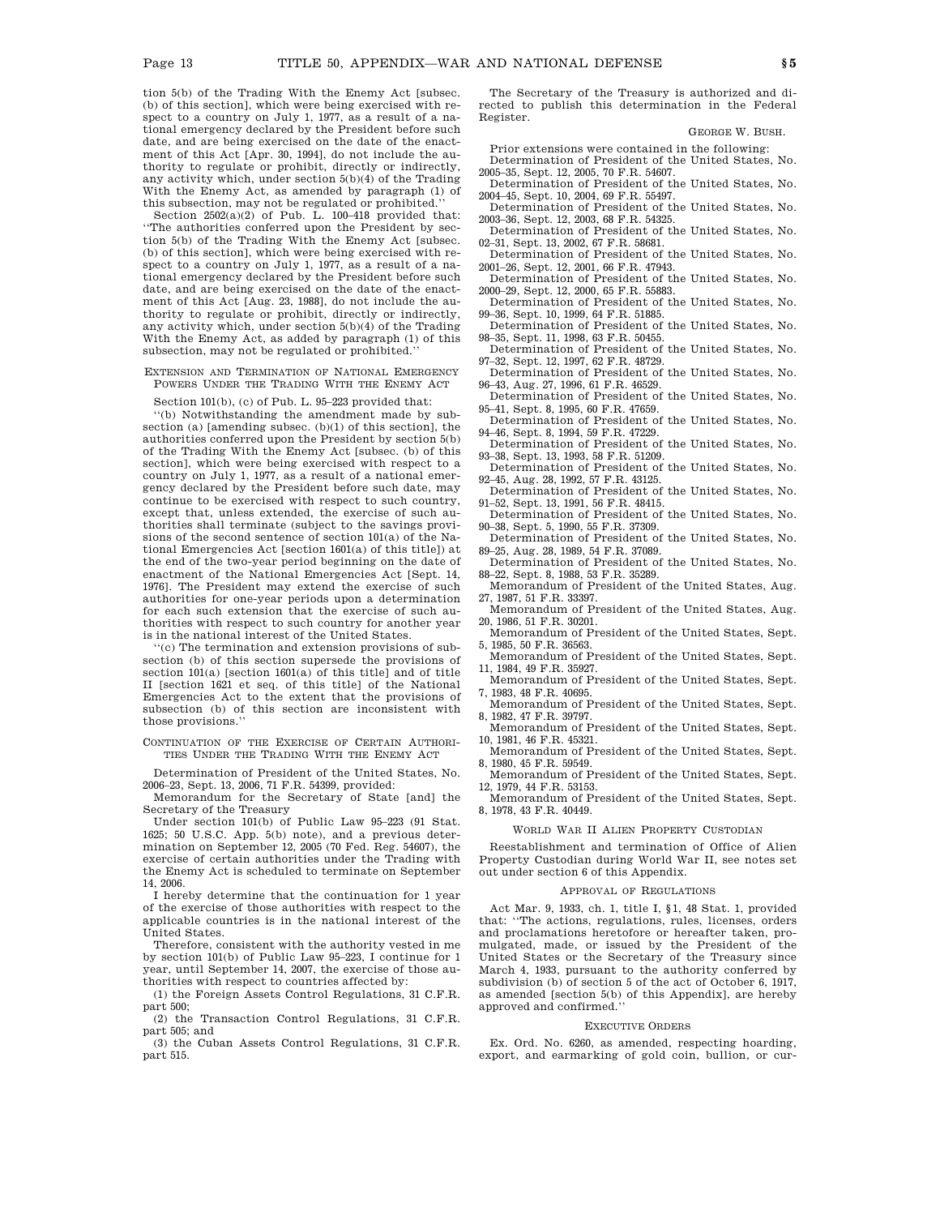tion 5(b) of the Trading With the Enemy Act [subsec. (b) of this section], which were being exercised with respect to a country on July 1, 1977, as a result of a national emergency declared by the President before such date, and are being exercised on the date of the enactment of this Act [Apr. 30, 1994], do not include the authority to regulate or prohibit, directly or indirectly, any activity which, under section 5(b)(4) of the Trading With the Enemy Act, as amended by paragraph (1) of this subsection, may not be regulated or prohibited.''

Section  $2502(a)(2)$  of Pub. L. 100-418 provided that: ''The authorities conferred upon the President by section 5(b) of the Trading With the Enemy Act [subsec. (b) of this section], which were being exercised with respect to a country on July 1, 1977, as a result of a national emergency declared by the President before such date, and are being exercised on the date of the enactment of this Act [Aug. 23, 1988], do not include the authority to regulate or prohibit, directly or indirectly, any activity which, under section 5(b)(4) of the Trading With the Enemy Act, as added by paragraph (1) of this subsection, may not be regulated or prohibited.''

### EXTENSION AND TERMINATION OF NATIONAL EMERGENCY POWERS UNDER THE TRADING WITH THE ENEMY ACT

Section 101(b), (c) of Pub. L. 95–223 provided that:

''(b) Notwithstanding the amendment made by subsection (a)  $[$ amending subsec.  $(b)(1)$  of this section. the authorities conferred upon the President by section 5(b) of the Trading With the Enemy Act [subsec. (b) of this section], which were being exercised with respect to a country on July 1, 1977, as a result of a national emergency declared by the President before such date, may continue to be exercised with respect to such country, except that, unless extended, the exercise of such authorities shall terminate (subject to the savings provisions of the second sentence of section 101(a) of the National Emergencies Act [section 1601(a) of this title]) at the end of the two-year period beginning on the date of enactment of the National Emergencies Act [Sept. 14, 1976]. The President may extend the exercise of such authorities for one-year periods upon a determination for each such extension that the exercise of such authorities with respect to such country for another year is in the national interest of the United States.

''(c) The termination and extension provisions of subsection (b) of this section supersede the provisions of section 101(a) [section 1601(a) of this title] and of title II [section 1621 et seq. of this title] of the National Emergencies Act to the extent that the provisions of subsection (b) of this section are inconsistent with those provisions.''

CONTINUATION OF THE EXERCISE OF CERTAIN AUTHORI-TIES UNDER THE TRADING WITH THE ENEMY ACT

Determination of President of the United States, No. 2006–23, Sept. 13, 2006, 71 F.R. 54399, provided:

Memorandum for the Secretary of State [and] the Secretary of the Treasury

Under section 101(b) of Public Law 95–223 (91 Stat. 1625; 50 U.S.C. App. 5(b) note), and a previous determination on September 12, 2005 (70 Fed. Reg. 54607), the exercise of certain authorities under the Trading with the Enemy Act is scheduled to terminate on September 14, 2006.

I hereby determine that the continuation for 1 year of the exercise of those authorities with respect to the applicable countries is in the national interest of the United States.

Therefore, consistent with the authority vested in me by section 101(b) of Public Law 95–223, I continue for 1 year, until September 14, 2007, the exercise of those authorities with respect to countries affected by:

(1) the Foreign Assets Control Regulations, 31 C.F.R. part 500;

(2) the Transaction Control Regulations, 31 C.F.R. part 505; and

(3) the Cuban Assets Control Regulations, 31 C.F.R. part 515.

The Secretary of the Treasury is authorized and directed to publish this determination in the Federal Register.

GEORGE W. BUSH.

Prior extensions were contained in the following: Determination of President of the United States, No.

2005–35, Sept. 12, 2005, 70 F.R. 54607. Determination of President of the United States, No.

2004–45, Sept. 10, 2004, 69 F.R. 55497. Determination of President of the United States, No. 2003–36, Sept. 12, 2003, 68 F.R. 54325.

Determination of President of the United States, No. 02–31, Sept. 13, 2002, 67 F.R. 58681.

Determination of President of the United States, No. 2001–26, Sept. 12, 2001, 66 F.R. 47943.

Determination of President of the United States, No. 2000–29, Sept. 12, 2000, 65 F.R. 55883.

Determination of President of the United States, No. 99–36, Sept. 10, 1999, 64 F.R. 51885.

Determination of President of the United States, No. 98–35, Sept. 11, 1998, 63 F.R. 50455.

Determination of President of the United States, No. 97–32, Sept. 12, 1997, 62 F.R. 48729.

Determination of President of the United States, No. 96–43, Aug. 27, 1996, 61 F.R. 46529.

Determination of President of the United States, No. 95–41, Sept. 8, 1995, 60 F.R. 47659.

Determination of President of the United States, No. 94–46, Sept. 8, 1994, 59 F.R. 47229.

Determination of President of the United States, No. 93–38, Sept. 13, 1993, 58 F.R. 51209. Determination of President of the United States, No.

92–45, Aug. 28, 1992, 57 F.R. 43125.

Determination of President of the United States, No. 91–52, Sept. 13, 1991, 56 F.R. 48415. Determination of President of the United States, No.

90–38, Sept. 5, 1990, 55 F.R. 37309.

Determination of President of the United States, No. 89–25, Aug. 28, 1989, 54 F.R. 37089.

Determination of President of the United States, No. 88–22, Sept. 8, 1988, 53 F.R. 35289.

Memorandum of President of the United States, Aug. 27, 1987, 51 F.R. 33397.

Memorandum of President of the United States, Aug. 20, 1986, 51 F.R. 30201.

Memorandum of President of the United States, Sept. 5, 1985, 50 F.R. 36563.

Memorandum of President of the United States, Sept. 11, 1984, 49 F.R. 35927.

Memorandum of President of the United States, Sept. 7, 1983, 48 F.R. 40695.

Memorandum of President of the United States, Sept. 8, 1982, 47 F.R. 39797.

Memorandum of President of the United States, Sept. 10, 1981, 46 F.R. 45321. Memorandum of President of the United States, Sept.

8, 1980, 45 F.R. 59549. Memorandum of President of the United States, Sept.

12, 1979, 44 F.R. 53153. Memorandum of President of the United States, Sept.

8, 1978, 43 F.R. 40449.

WORLD WAR II ALIEN PROPERTY CUSTODIAN

Reestablishment and termination of Office of Alien Property Custodian during World War II, see notes set out under section 6 of this Appendix.

#### APPROVAL OF REGULATIONS

Act Mar. 9, 1933, ch. 1, title I, §1, 48 Stat. 1, provided that: ''The actions, regulations, rules, licenses, orders and proclamations heretofore or hereafter taken, promulgated, made, or issued by the President of the United States or the Secretary of the Treasury since March 4, 1933, pursuant to the authority conferred by subdivision (b) of section 5 of the act of October 6, 1917, as amended [section 5(b) of this Appendix], are hereby approved and confirmed.''

## EXECUTIVE ORDERS

Ex. Ord. No. 6260, as amended, respecting hoarding, export, and earmarking of gold coin, bullion, or cur-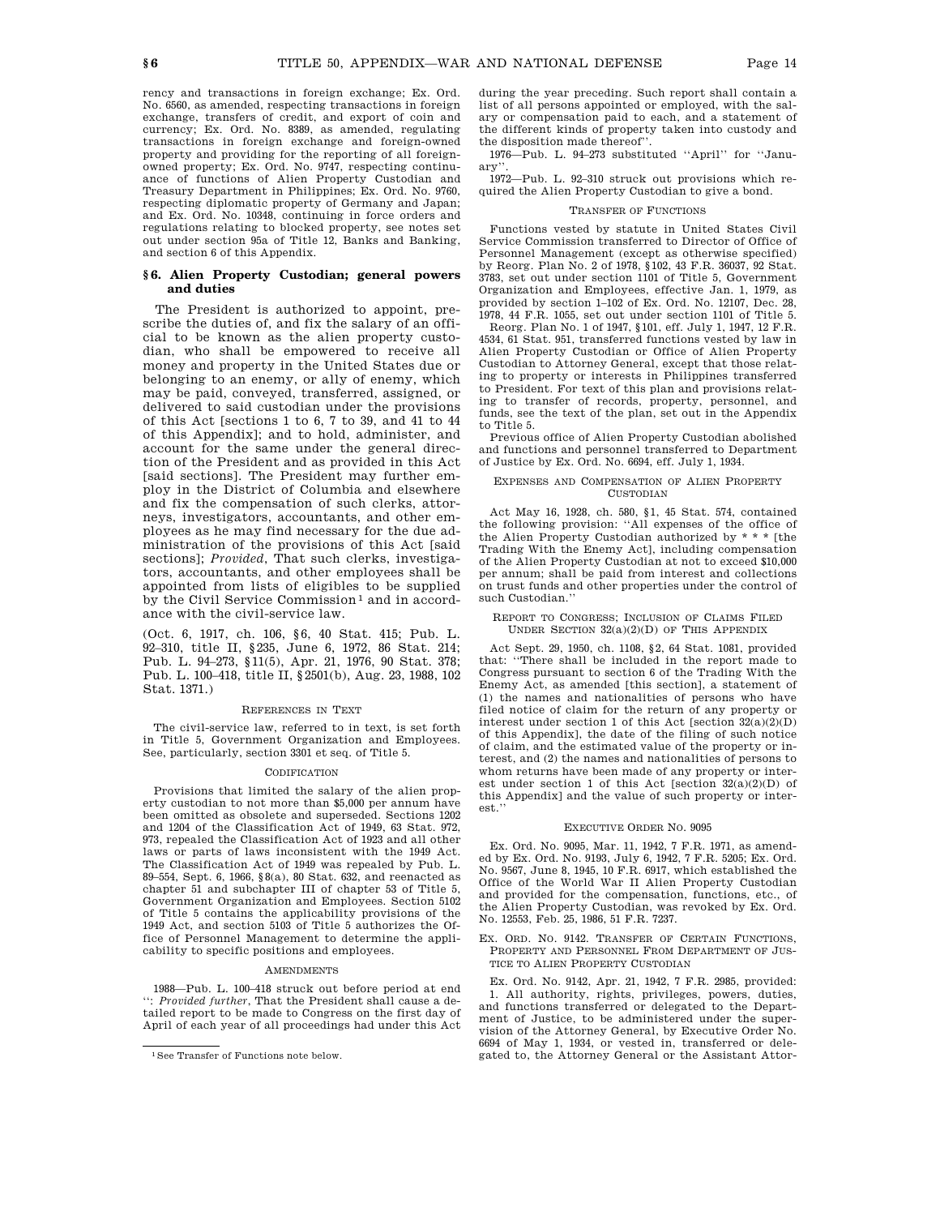rency and transactions in foreign exchange; Ex. Ord. No. 6560, as amended, respecting transactions in foreign exchange, transfers of credit, and export of coin and currency; Ex. Ord. No. 8389, as amended, regulating transactions in foreign exchange and foreign-owned property and providing for the reporting of all foreignowned property; Ex. Ord. No. 9747, respecting continuance of functions of Alien Property Custodian and Treasury Department in Philippines; Ex. Ord. No. 9760, respecting diplomatic property of Germany and Japan; and Ex. Ord. No. 10348, continuing in force orders and regulations relating to blocked property, see notes set out under section 95a of Title 12, Banks and Banking, and section 6 of this Appendix.

## **§ 6. Alien Property Custodian; general powers and duties**

The President is authorized to appoint, prescribe the duties of, and fix the salary of an official to be known as the alien property custodian, who shall be empowered to receive all money and property in the United States due or belonging to an enemy, or ally of enemy, which may be paid, conveyed, transferred, assigned, or delivered to said custodian under the provisions of this Act [sections 1 to 6, 7 to 39, and 41 to 44 of this Appendix]; and to hold, administer, and account for the same under the general direction of the President and as provided in this Act [said sections]. The President may further employ in the District of Columbia and elsewhere and fix the compensation of such clerks, attorneys, investigators, accountants, and other employees as he may find necessary for the due administration of the provisions of this Act [said sections]; *Provided*, That such clerks, investigators, accountants, and other employees shall be appointed from lists of eligibles to be supplied by the Civil Service Commission<sup>1</sup> and in accordance with the civil-service law.

(Oct. 6, 1917, ch. 106, §6, 40 Stat. 415; Pub. L. 92–310, title II, §235, June 6, 1972, 86 Stat. 214; Pub. L. 94–273, §11(5), Apr. 21, 1976, 90 Stat. 378; Pub. L. 100–418, title II, §2501(b), Aug. 23, 1988, 102 Stat. 1371.)

## REFERENCES IN TEXT

The civil-service law, referred to in text, is set forth in Title 5, Government Organization and Employees. See, particularly, section 3301 et seq. of Title 5.

#### CODIFICATION

Provisions that limited the salary of the alien property custodian to not more than \$5,000 per annum have been omitted as obsolete and superseded. Sections 1202 and 1204 of the Classification Act of 1949, 63 Stat. 972, 973, repealed the Classification Act of 1923 and all other laws or parts of laws inconsistent with the 1949 Act. The Classification Act of 1949 was repealed by Pub. L. 89–554, Sept. 6, 1966, §8(a), 80 Stat. 632, and reenacted as chapter 51 and subchapter III of chapter 53 of Title 5, Government Organization and Employees. Section 5102 of Title 5 contains the applicability provisions of the 1949 Act, and section 5103 of Title 5 authorizes the Office of Personnel Management to determine the applicability to specific positions and employees.

#### AMENDMENTS

1988—Pub. L. 100–418 struck out before period at end '': *Provided further*, That the President shall cause a detailed report to be made to Congress on the first day of April of each year of all proceedings had under this Act during the year preceding. Such report shall contain a list of all persons appointed or employed, with the salary or compensation paid to each, and a statement of the different kinds of property taken into custody and the disposition made thereof''.

1976—Pub. L. 94–273 substituted ''April'' for ''January''.

1972—Pub. L. 92–310 struck out provisions which required the Alien Property Custodian to give a bond.

#### TRANSFER OF FUNCTIONS

Functions vested by statute in United States Civil Service Commission transferred to Director of Office of Personnel Management (except as otherwise specified) by Reorg. Plan No. 2 of 1978, §102, 43 F.R. 36037, 92 Stat. 3783, set out under section 1101 of Title 5, Government Organization and Employees, effective Jan. 1, 1979, as provided by section 1–102 of Ex. Ord. No. 12107, Dec. 28, 1978, 44 F.R. 1055, set out under section 1101 of Title 5.

Reorg. Plan No. 1 of 1947, §101, eff. July 1, 1947, 12 F.R. 4534, 61 Stat. 951, transferred functions vested by law in Alien Property Custodian or Office of Alien Property Custodian to Attorney General, except that those relating to property or interests in Philippines transferred to President. For text of this plan and provisions relating to transfer of records, property, personnel, and funds, see the text of the plan, set out in the Appendix to Title 5.

Previous office of Alien Property Custodian abolished and functions and personnel transferred to Department of Justice by Ex. Ord. No. 6694, eff. July 1, 1934.

#### EXPENSES AND COMPENSATION OF ALIEN PROPERTY CUSTODIAN

Act May 16, 1928, ch. 580, §1, 45 Stat. 574, contained the following provision: ''All expenses of the office of the Alien Property Custodian authorized by \* \* \* [the Trading With the Enemy Act], including compensation of the Alien Property Custodian at not to exceed \$10,000 per annum; shall be paid from interest and collections on trust funds and other properties under the control of such Custodian.''

## REPORT TO CONGRESS; INCLUSION OF CLAIMS FILED UNDER SECTION 32(a)(2)(D) OF THIS APPENDIX

Act Sept. 29, 1950, ch. 1108, §2, 64 Stat. 1081, provided that: ''There shall be included in the report made to Congress pursuant to section 6 of the Trading With the Enemy Act, as amended [this section], a statement of (1) the names and nationalities of persons who have filed notice of claim for the return of any property or interest under section 1 of this Act [section  $32(a)(2)(D)$ ] of this Appendix], the date of the filing of such notice of claim, and the estimated value of the property or interest, and (2) the names and nationalities of persons to whom returns have been made of any property or interest under section 1 of this Act [section  $32(a)(2)(D)$  of this Appendix] and the value of such property or interest.''

## EXECUTIVE ORDER NO. 9095

Ex. Ord. No. 9095, Mar. 11, 1942, 7 F.R. 1971, as amended by Ex. Ord. No. 9193, July 6, 1942, 7 F.R. 5205; Ex. Ord. No. 9567, June 8, 1945, 10 F.R. 6917, which established the Office of the World War II Alien Property Custodian and provided for the compensation, functions, etc., of the Alien Property Custodian, was revoked by Ex. Ord. No. 12553, Feb. 25, 1986, 51 F.R. 7237.

EX. ORD. NO. 9142. TRANSFER OF CERTAIN FUNCTIONS, PROPERTY AND PERSONNEL FROM DEPARTMENT OF JUS-TICE TO ALIEN PROPERTY CUSTODIAN

Ex. Ord. No. 9142, Apr. 21, 1942, 7 F.R. 2985, provided: 1. All authority, rights, privileges, powers, duties, and functions transferred or delegated to the Department of Justice, to be administered under the supervision of the Attorney General, by Executive Order No. 6694 of May 1, 1934, or vested in, transferred or delegated to, the Attorney General or the Assistant Attor-

<sup>1</sup>See Transfer of Functions note below.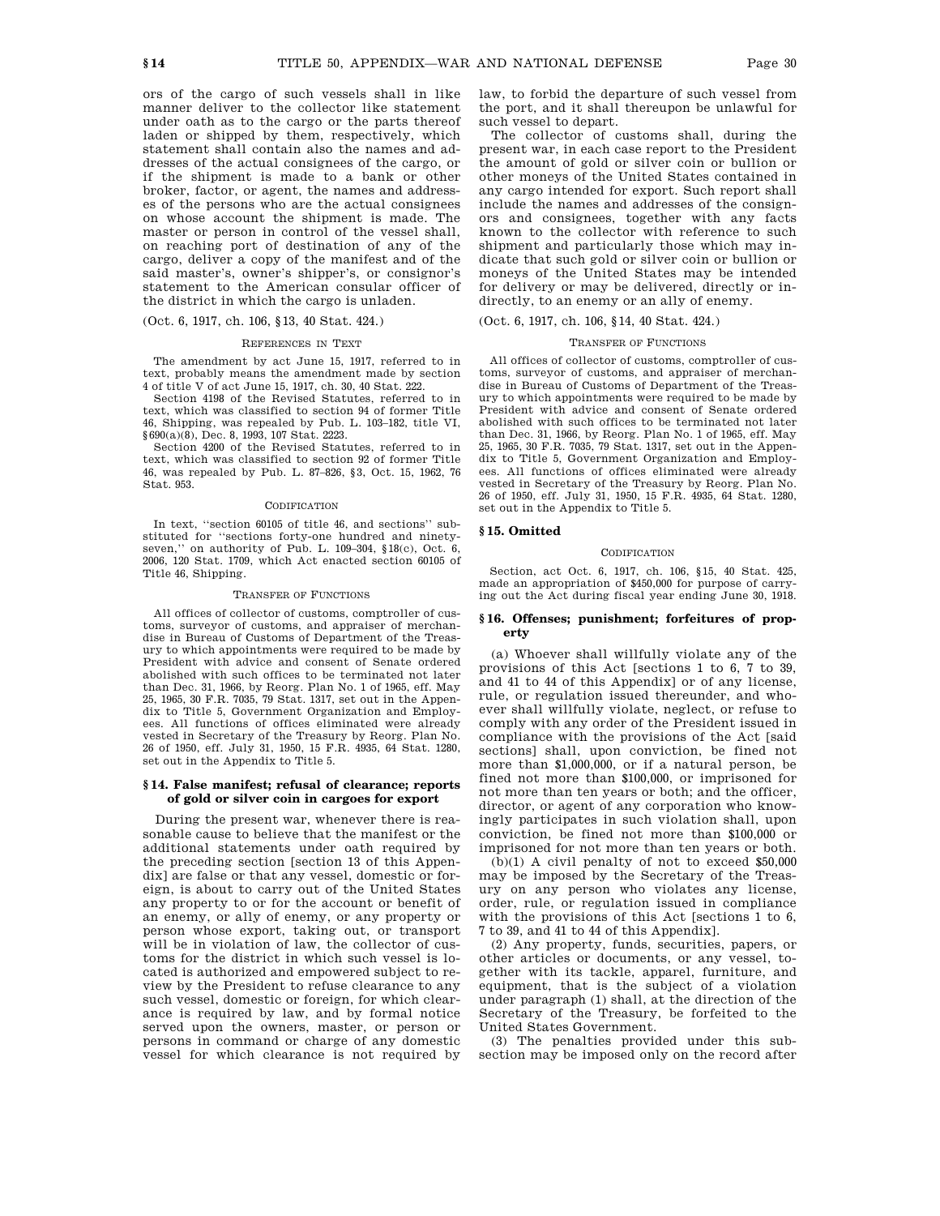ors of the cargo of such vessels shall in like manner deliver to the collector like statement under oath as to the cargo or the parts thereof laden or shipped by them, respectively, which statement shall contain also the names and addresses of the actual consignees of the cargo, or if the shipment is made to a bank or other broker, factor, or agent, the names and addresses of the persons who are the actual consignees on whose account the shipment is made. The master or person in control of the vessel shall, on reaching port of destination of any of the cargo, deliver a copy of the manifest and of the said master's, owner's shipper's, or consignor's statement to the American consular officer of the district in which the cargo is unladen.

# (Oct. 6, 1917, ch. 106, §13, 40 Stat. 424.)

#### REFERENCES IN TEXT

The amendment by act June 15, 1917, referred to in text, probably means the amendment made by section 4 of title V of act June 15, 1917, ch. 30, 40 Stat. 222.

Section 4198 of the Revised Statutes, referred to in text, which was classified to section 94 of former Title 46, Shipping, was repealed by Pub. L. 103–182, title VI, §690(a)(8), Dec. 8, 1993, 107 Stat. 2223.

Section 4200 of the Revised Statutes, referred to in text, which was classified to section 92 of former Title 46, was repealed by Pub. L. 87–826, §3, Oct. 15, 1962, 76 Stat. 953.

#### CODIFICATION

In text, ''section 60105 of title 46, and sections'' substituted for ''sections forty-one hundred and ninetyseven,'' on authority of Pub. L. 109–304, §18(c), Oct. 6, 2006, 120 Stat. 1709, which Act enacted section 60105 of Title 46, Shipping.

#### TRANSFER OF FUNCTIONS

All offices of collector of customs, comptroller of customs, surveyor of customs, and appraiser of merchandise in Bureau of Customs of Department of the Treasury to which appointments were required to be made by President with advice and consent of Senate ordered abolished with such offices to be terminated not later than Dec. 31, 1966, by Reorg. Plan No. 1 of 1965, eff. May 25, 1965, 30 F.R. 7035, 79 Stat. 1317, set out in the Appendix to Title 5, Government Organization and Employees. All functions of offices eliminated were already vested in Secretary of the Treasury by Reorg. Plan No. 26 of 1950, eff. July 31, 1950, 15 F.R. 4935, 64 Stat. 1280, set out in the Appendix to Title 5.

## **§ 14. False manifest; refusal of clearance; reports of gold or silver coin in cargoes for export**

During the present war, whenever there is reasonable cause to believe that the manifest or the additional statements under oath required by the preceding section [section 13 of this Appendix] are false or that any vessel, domestic or foreign, is about to carry out of the United States any property to or for the account or benefit of an enemy, or ally of enemy, or any property or person whose export, taking out, or transport will be in violation of law, the collector of customs for the district in which such vessel is located is authorized and empowered subject to review by the President to refuse clearance to any such vessel, domestic or foreign, for which clearance is required by law, and by formal notice served upon the owners, master, or person or persons in command or charge of any domestic vessel for which clearance is not required by law, to forbid the departure of such vessel from the port, and it shall thereupon be unlawful for such vessel to depart.

The collector of customs shall, during the present war, in each case report to the President the amount of gold or silver coin or bullion or other moneys of the United States contained in any cargo intended for export. Such report shall include the names and addresses of the consignors and consignees, together with any facts known to the collector with reference to such shipment and particularly those which may indicate that such gold or silver coin or bullion or moneys of the United States may be intended for delivery or may be delivered, directly or indirectly, to an enemy or an ally of enemy.

# (Oct. 6, 1917, ch. 106, §14, 40 Stat. 424.)

# TRANSFER OF FUNCTIONS

All offices of collector of customs, comptroller of customs, surveyor of customs, and appraiser of merchandise in Bureau of Customs of Department of the Treasury to which appointments were required to be made by President with advice and consent of Senate ordered abolished with such offices to be terminated not later than Dec. 31, 1966, by Reorg. Plan No. 1 of 1965, eff. May 25, 1965, 30 F.R. 7035, 79 Stat. 1317, set out in the Appendix to Title 5, Government Organization and Employees. All functions of offices eliminated were already vested in Secretary of the Treasury by Reorg. Plan No. 26 of 1950, eff. July 31, 1950, 15 F.R. 4935, 64 Stat. 1280, set out in the Appendix to Title 5.

# **§ 15. Omitted**

#### **CODIFICATION**

Section, act Oct. 6, 1917, ch. 106, §15, 40 Stat. 425, made an appropriation of \$450,000 for purpose of carrying out the Act during fiscal year ending June 30, 1918.

## **§ 16. Offenses; punishment; forfeitures of property**

(a) Whoever shall willfully violate any of the provisions of this Act [sections 1 to 6, 7 to 39, and 41 to 44 of this Appendix] or of any license, rule, or regulation issued thereunder, and whoever shall willfully violate, neglect, or refuse to comply with any order of the President issued in compliance with the provisions of the Act [said sections] shall, upon conviction, be fined not more than \$1,000,000, or if a natural person, be fined not more than \$100,000, or imprisoned for not more than ten years or both; and the officer, director, or agent of any corporation who knowingly participates in such violation shall, upon conviction, be fined not more than \$100,000 or imprisoned for not more than ten years or both.

(b)(1) A civil penalty of not to exceed \$50,000 may be imposed by the Secretary of the Treasury on any person who violates any license, order, rule, or regulation issued in compliance with the provisions of this Act [sections 1 to 6, 7 to 39, and 41 to 44 of this Appendix].

(2) Any property, funds, securities, papers, or other articles or documents, or any vessel, together with its tackle, apparel, furniture, and equipment, that is the subject of a violation under paragraph (1) shall, at the direction of the Secretary of the Treasury, be forfeited to the United States Government.

(3) The penalties provided under this subsection may be imposed only on the record after